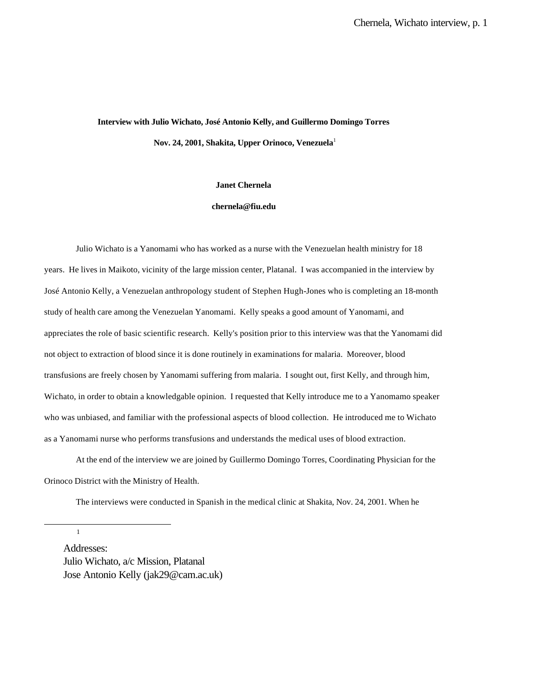# **Interview with Julio Wichato, José Antonio Kelly, and Guillermo Domingo Torres Nov. 24, 2001, Shakita, Upper Orinoco, Venezuela**<sup>1</sup>

### **Janet Chernela**

#### **chernela@fiu.edu**

Julio Wichato is a Yanomami who has worked as a nurse with the Venezuelan health ministry for 18 years. He lives in Maikoto, vicinity of the large mission center, Platanal. I was accompanied in the interview by José Antonio Kelly, a Venezuelan anthropology student of Stephen Hugh-Jones who is completing an 18-month study of health care among the Venezuelan Yanomami. Kelly speaks a good amount of Yanomami, and appreciates the role of basic scientific research. Kelly's position prior to this interview was that the Yanomami did not object to extraction of blood since it is done routinely in examinations for malaria. Moreover, blood transfusions are freely chosen by Yanomami suffering from malaria. I sought out, first Kelly, and through him, Wichato, in order to obtain a knowledgable opinion. I requested that Kelly introduce me to a Yanomamo speaker who was unbiased, and familiar with the professional aspects of blood collection. He introduced me to Wichato as a Yanomami nurse who performs transfusions and understands the medical uses of blood extraction.

At the end of the interview we are joined by Guillermo Domingo Torres, Coordinating Physician for the Orinoco District with the Ministry of Health.

The interviews were conducted in Spanish in the medical clinic at Shakita, Nov. 24, 2001. When he

1

l

Addresses: Julio Wichato, a/c Mission, Platanal Jose Antonio Kelly (jak29@cam.ac.uk)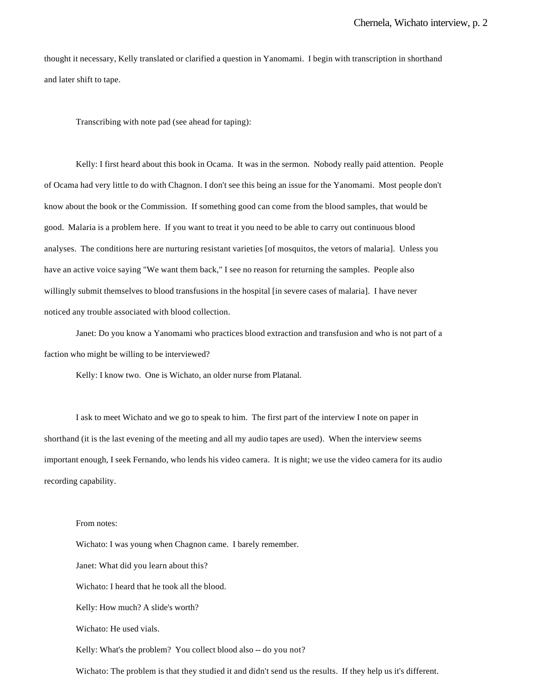thought it necessary, Kelly translated or clarified a question in Yanomami. I begin with transcription in shorthand and later shift to tape.

Transcribing with note pad (see ahead for taping):

Kelly: I first heard about this book in Ocama. It was in the sermon. Nobody really paid attention. People of Ocama had very little to do with Chagnon. I don't see this being an issue for the Yanomami. Most people don't know about the book or the Commission. If something good can come from the blood samples, that would be good. Malaria is a problem here. If you want to treat it you need to be able to carry out continuous blood analyses. The conditions here are nurturing resistant varieties [of mosquitos, the vetors of malaria]. Unless you have an active voice saying "We want them back," I see no reason for returning the samples. People also willingly submit themselves to blood transfusions in the hospital [in severe cases of malaria]. I have never noticed any trouble associated with blood collection.

Janet: Do you know a Yanomami who practices blood extraction and transfusion and who is not part of a faction who might be willing to be interviewed?

Kelly: I know two. One is Wichato, an older nurse from Platanal.

I ask to meet Wichato and we go to speak to him. The first part of the interview I note on paper in shorthand (it is the last evening of the meeting and all my audio tapes are used). When the interview seems important enough, I seek Fernando, who lends his video camera. It is night; we use the video camera for its audio recording capability.

## From notes:

Wichato: I was young when Chagnon came. I barely remember. Janet: What did you learn about this? Wichato: I heard that he took all the blood. Kelly: How much? A slide's worth? Wichato: He used vials. Kelly: What's the problem? You collect blood also -- do you not?

Wichato: The problem is that they studied it and didn't send us the results. If they help us it's different.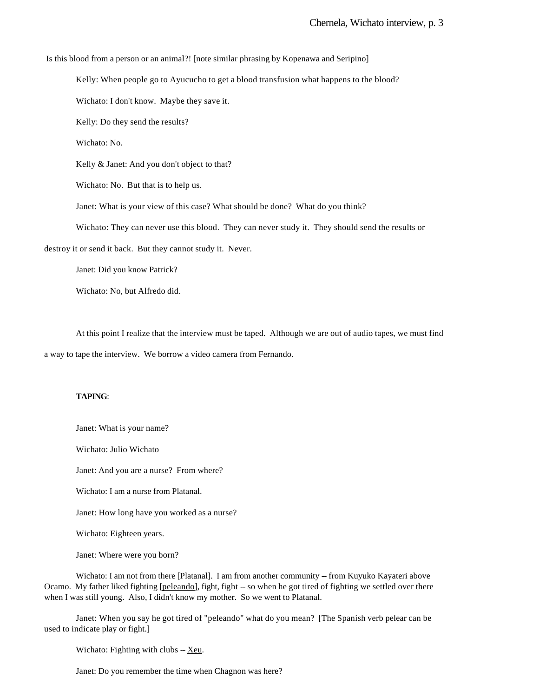Is this blood from a person or an animal?! [note similar phrasing by Kopenawa and Seripino]

Kelly: When people go to Ayucucho to get a blood transfusion what happens to the blood?

Wichato: I don't know. Maybe they save it.

Kelly: Do they send the results?

Wichato: No.

Kelly & Janet: And you don't object to that?

Wichato: No. But that is to help us.

Janet: What is your view of this case? What should be done? What do you think?

Wichato: They can never use this blood. They can never study it. They should send the results or

destroy it or send it back. But they cannot study it. Never.

Janet: Did you know Patrick?

Wichato: No, but Alfredo did.

At this point I realize that the interview must be taped. Although we are out of audio tapes, we must find

a way to tape the interview. We borrow a video camera from Fernando.

## **TAPING**:

Janet: What is your name?

Wichato: Julio Wichato

Janet: And you are a nurse? From where?

Wichato: I am a nurse from Platanal.

Janet: How long have you worked as a nurse?

Wichato: Eighteen years.

Janet: Where were you born?

Wichato: I am not from there [Platanal]. I am from another community -- from Kuyuko Kayateri above Ocamo. My father liked fighting [peleando], fight, fight -- so when he got tired of fighting we settled over there when I was still young. Also, I didn't know my mother. So we went to Platanal.

Janet: When you say he got tired of "peleando" what do you mean? [The Spanish verb pelear can be used to indicate play or fight.]

Wichato: Fighting with clubs -- Xeu.

Janet: Do you remember the time when Chagnon was here?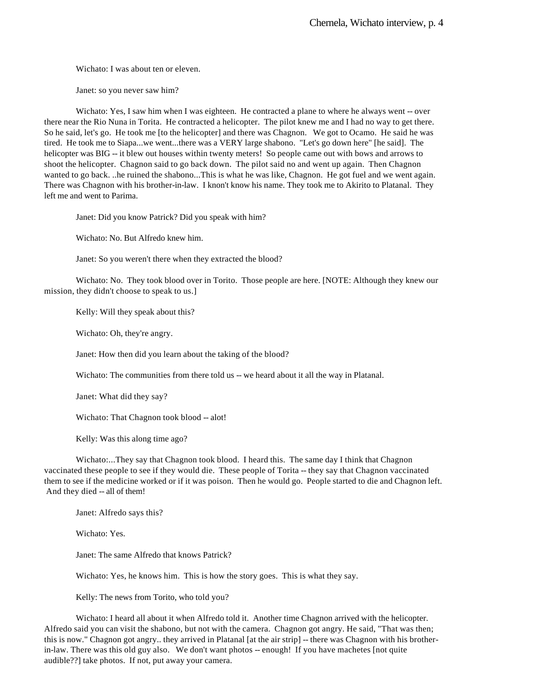Wichato: I was about ten or eleven.

Janet: so you never saw him?

Wichato: Yes, I saw him when I was eighteen. He contracted a plane to where he always went -- over there near the Rio Nuna in Torita. He contracted a helicopter. The pilot knew me and I had no way to get there. So he said, let's go. He took me [to the helicopter] and there was Chagnon. We got to Ocamo. He said he was tired. He took me to Siapa...we went...there was a VERY large shabono. "Let's go down here" [he said]. The helicopter was BIG -- it blew out houses within twenty meters! So people came out with bows and arrows to shoot the helicopter. Chagnon said to go back down. The pilot said no and went up again. Then Chagnon wanted to go back. ..he ruined the shabono...This is what he was like, Chagnon. He got fuel and we went again. There was Chagnon with his brother-in-law. I knon't know his name. They took me to Akirito to Platanal. They left me and went to Parima.

Janet: Did you know Patrick? Did you speak with him?

Wichato: No. But Alfredo knew him.

Janet: So you weren't there when they extracted the blood?

Wichato: No. They took blood over in Torito. Those people are here. [NOTE: Although they knew our mission, they didn't choose to speak to us.]

Kelly: Will they speak about this?

Wichato: Oh, they're angry.

Janet: How then did you learn about the taking of the blood?

Wichato: The communities from there told us -- we heard about it all the way in Platanal.

Janet: What did they say?

Wichato: That Chagnon took blood -- alot!

Kelly: Was this along time ago?

Wichato:...They say that Chagnon took blood. I heard this. The same day I think that Chagnon vaccinated these people to see if they would die. These people of Torita -- they say that Chagnon vaccinated them to see if the medicine worked or if it was poison. Then he would go. People started to die and Chagnon left. And they died -- all of them!

Janet: Alfredo says this?

Wichato: Yes.

Janet: The same Alfredo that knows Patrick?

Wichato: Yes, he knows him. This is how the story goes. This is what they say.

Kelly: The news from Torito, who told you?

Wichato: I heard all about it when Alfredo told it. Another time Chagnon arrived with the helicopter. Alfredo said you can visit the shabono, but not with the camera. Chagnon got angry. He said, "That was then; this is now." Chagnon got angry.. they arrived in Platanal [at the air strip] -- there was Chagnon with his brotherin-law. There was this old guy also. We don't want photos -- enough! If you have machetes [not quite audible??] take photos. If not, put away your camera.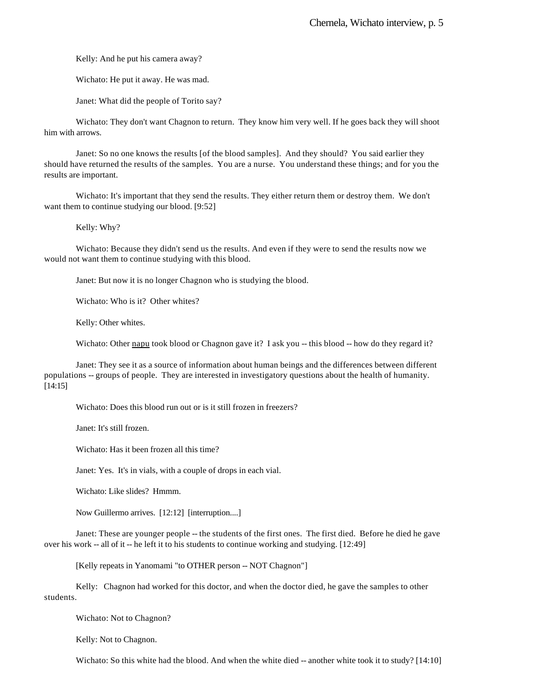Kelly: And he put his camera away?

Wichato: He put it away. He was mad.

Janet: What did the people of Torito say?

Wichato: They don't want Chagnon to return. They know him very well. If he goes back they will shoot him with arrows.

Janet: So no one knows the results [of the blood samples]. And they should? You said earlier they should have returned the results of the samples. You are a nurse. You understand these things; and for you the results are important.

Wichato: It's important that they send the results. They either return them or destroy them. We don't want them to continue studying our blood. [9:52]

Kelly: Why?

Wichato: Because they didn't send us the results. And even if they were to send the results now we would not want them to continue studying with this blood.

Janet: But now it is no longer Chagnon who is studying the blood.

Wichato: Who is it? Other whites?

Kelly: Other whites.

Wichato: Other napu took blood or Chagnon gave it? I ask you -- this blood -- how do they regard it?

Janet: They see it as a source of information about human beings and the differences between different populations -- groups of people. They are interested in investigatory questions about the health of humanity. [14:15]

Wichato: Does this blood run out or is it still frozen in freezers?

Janet: It's still frozen.

Wichato: Has it been frozen all this time?

Janet: Yes. It's in vials, with a couple of drops in each vial.

Wichato: Like slides? Hmmm.

Now Guillermo arrives. [12:12] [interruption....]

Janet: These are younger people -- the students of the first ones. The first died. Before he died he gave over his work -- all of it -- he left it to his students to continue working and studying. [12:49]

[Kelly repeats in Yanomami "to OTHER person -- NOT Chagnon"]

Kelly: Chagnon had worked for this doctor, and when the doctor died, he gave the samples to other students.

Wichato: Not to Chagnon?

Kelly: Not to Chagnon.

Wichato: So this white had the blood. And when the white died -- another white took it to study? [14:10]